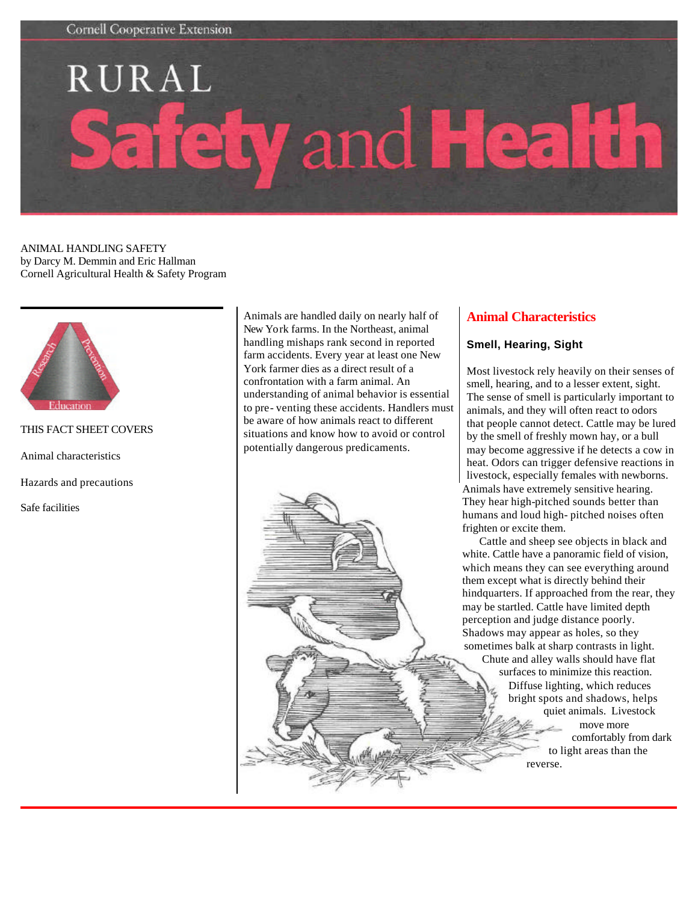# RURAL and He A ີ

ANIMAL HANDLING SAFETY by Darcy M. Demmin and Eric Hallman Cornell Agricultural Health & Safety Program



```
THIS FACT SHEET COVERS
```
Animal characteristics

Hazards and precautions

Safe facilities

Animals are handled daily on nearly half of New York farms. In the Northeast, animal handling mishaps rank second in reported farm accidents. Every year at least one New York farmer dies as a direct result of a confrontation with a farm animal. An understanding of animal behavior is essential to pre- venting these accidents. Handlers must be aware of how animals react to different situations and know how to avoid or control potentially dangerous predicaments.

# **Animal Characteristics**

### **Smell, Hearing, Sight**

Most livestock rely heavily on their senses of smell, hearing, and to a lesser extent, sight. The sense of smell is particularly important to animals, and they will often react to odors that people cannot detect. Cattle may be lured by the smell of freshly mown hay, or a bull may become aggressive if he detects a cow in heat. Odors can trigger defensive reactions in livestock, especially females with newborns. Animals have extremely sensitive hearing. They hear high-pitched sounds better than humans and loud high- pitched noises often frighten or excite them.

 Cattle and sheep see objects in black and white. Cattle have a panoramic field of vision, which means they can see everything around them except what is directly behind their hindquarters. If approached from the rear, they may be startled. Cattle have limited depth perception and judge distance poorly. Shadows may appear as holes, so they sometimes balk at sharp contrasts in light. Chute and alley walls should have flat surfaces to minimize this reaction. Diffuse lighting, which reduces bright spots and shadows, helps quiet animals. Livestock move more comfortably from dark to light areas than the reverse.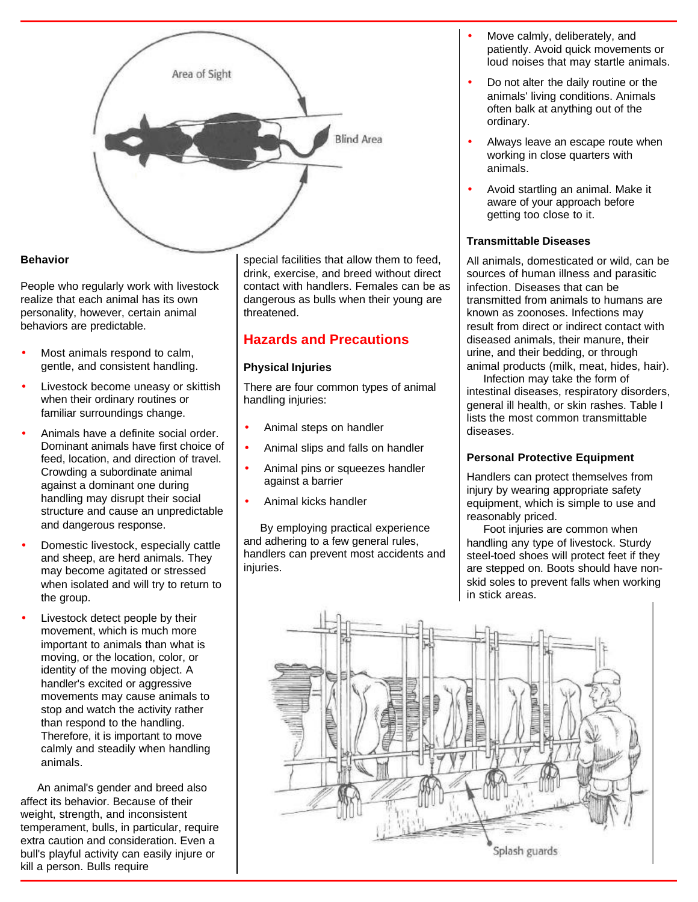

## **Behavior**

People who regularly work with livestock realize that each animal has its own personality, however, certain animal behaviors are predictable.

- Most animals respond to calm, gentle, and consistent handling.
- Livestock become uneasy or skittish when their ordinary routines or familiar surroundings change.
- Animals have a definite social order. Dominant animals have first choice of feed, location, and direction of travel. Crowding a subordinate animal against a dominant one during handling may disrupt their social structure and cause an unpredictable and dangerous response.
- Domestic livestock, especially cattle and sheep, are herd animals. They may become agitated or stressed when isolated and will try to return to the group.
- Livestock detect people by their movement, which is much more important to animals than what is moving, or the location, color, or identity of the moving object. A handler's excited or aggressive movements may cause animals to stop and watch the activity rather than respond to the handling. Therefore, it is important to move calmly and steadily when handling animals.

 An animal's gender and breed also affect its behavior. Because of their weight, strength, and inconsistent temperament, bulls, in particular, require extra caution and consideration. Even a bull's playful activity can easily injure or kill a person. Bulls require

special facilities that allow them to feed, drink, exercise, and breed without direct contact with handlers. Females can be as dangerous as bulls when their young are threatened.

# **Hazards and Precautions**

### **Physical Injuries**

There are four common types of animal handling injuries:

- Animal steps on handler
- Animal slips and falls on handler
- Animal pins or squeezes handler against a barrier
- Animal kicks handler

 By employing practical experience and adhering to a few general rules, handlers can prevent most accidents and injuries.

- Move calmly, deliberately, and patiently. Avoid quick movements or loud noises that may startle animals.
- Do not alter the daily routine or the animals' living conditions. Animals often balk at anything out of the ordinary.
- Always leave an escape route when working in close quarters with animals.
- Avoid startling an animal. Make it aware of your approach before getting too close to it.

## **Transmittable Diseases**

All animals, domesticated or wild, can be sources of human illness and parasitic infection. Diseases that can be transmitted from animals to humans are known as zoonoses. Infections may result from direct or indirect contact with diseased animals, their manure, their urine, and their bedding, or through animal products (milk, meat, hides, hair).

 Infection may take the form of intestinal diseases, respiratory disorders, general ill health, or skin rashes. Table I lists the most common transmittable diseases.

# **Personal Protective Equipment**

Handlers can protect themselves from injury by wearing appropriate safety equipment, which is simple to use and reasonably priced.

 Foot injuries are common when handling any type of livestock. Sturdy steel-toed shoes will protect feet if they are stepped on. Boots should have nonskid soles to prevent falls when working in stick areas.

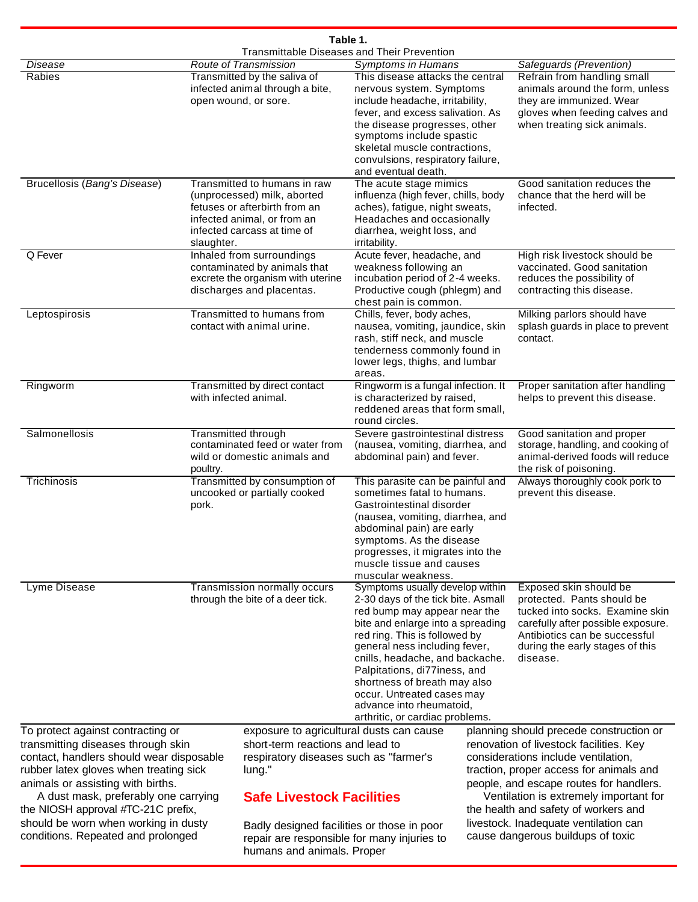| Table 1.                                                                                                                                                                                              |                                                                                                                                                                          |                                                                                                                          |                                                                                                                                                                                                                                                                                                                                                                                                              |                                                                                                                                                                                                                |                                                                                                                                                                                                               |
|-------------------------------------------------------------------------------------------------------------------------------------------------------------------------------------------------------|--------------------------------------------------------------------------------------------------------------------------------------------------------------------------|--------------------------------------------------------------------------------------------------------------------------|--------------------------------------------------------------------------------------------------------------------------------------------------------------------------------------------------------------------------------------------------------------------------------------------------------------------------------------------------------------------------------------------------------------|----------------------------------------------------------------------------------------------------------------------------------------------------------------------------------------------------------------|---------------------------------------------------------------------------------------------------------------------------------------------------------------------------------------------------------------|
|                                                                                                                                                                                                       |                                                                                                                                                                          |                                                                                                                          | <b>Transmittable Diseases and Their Prevention</b>                                                                                                                                                                                                                                                                                                                                                           |                                                                                                                                                                                                                |                                                                                                                                                                                                               |
| Disease<br>Rabies                                                                                                                                                                                     |                                                                                                                                                                          | <b>Route of Transmission</b><br>Transmitted by the saliva of<br>infected animal through a bite,<br>open wound, or sore.  | Symptoms in Humans<br>This disease attacks the central<br>nervous system. Symptoms<br>include headache, irritability,<br>fever, and excess salivation. As<br>the disease progresses, other<br>symptoms include spastic<br>skeletal muscle contractions,<br>convulsions, respiratory failure,<br>and eventual death.                                                                                          |                                                                                                                                                                                                                | Safeguards (Prevention)<br>Refrain from handling small<br>animals around the form, unless<br>they are immunized. Wear<br>gloves when feeding calves and<br>when treating sick animals.                        |
| Brucellosis (Bang's Disease)                                                                                                                                                                          | Transmitted to humans in raw<br>(unprocessed) milk, aborted<br>fetuses or afterbirth from an<br>infected animal, or from an<br>infected carcass at time of<br>slaughter. |                                                                                                                          | The acute stage mimics<br>influenza (high fever, chills, body<br>aches), fatigue, night sweats,<br>Headaches and occasionally<br>diarrhea, weight loss, and<br>irritability.                                                                                                                                                                                                                                 |                                                                                                                                                                                                                | Good sanitation reduces the<br>chance that the herd will be<br>infected.                                                                                                                                      |
| Q Fever                                                                                                                                                                                               | Inhaled from surroundings<br>contaminated by animals that<br>excrete the organism with uterine<br>discharges and placentas.                                              |                                                                                                                          | Acute fever, headache, and<br>weakness following an<br>incubation period of 2-4 weeks.<br>Productive cough (phlegm) and<br>chest pain is common.                                                                                                                                                                                                                                                             |                                                                                                                                                                                                                | High risk livestock should be<br>vaccinated. Good sanitation<br>reduces the possibility of<br>contracting this disease.                                                                                       |
| Leptospirosis                                                                                                                                                                                         | Transmitted to humans from<br>contact with animal urine.                                                                                                                 |                                                                                                                          | Chills, fever, body aches,<br>nausea, vomiting, jaundice, skin<br>rash, stiff neck, and muscle<br>tenderness commonly found in<br>lower legs, thighs, and lumbar<br>areas.                                                                                                                                                                                                                                   |                                                                                                                                                                                                                | Milking parlors should have<br>splash guards in place to prevent<br>contact.                                                                                                                                  |
| Ringworm                                                                                                                                                                                              | Transmitted by direct contact<br>with infected animal.                                                                                                                   |                                                                                                                          | Ringworm is a fungal infection. It<br>is characterized by raised,<br>reddened areas that form small,<br>round circles.                                                                                                                                                                                                                                                                                       |                                                                                                                                                                                                                | Proper sanitation after handling<br>helps to prevent this disease.                                                                                                                                            |
| Salmonellosis                                                                                                                                                                                         | <b>Transmitted through</b><br>contaminated feed or water from<br>wild or domestic animals and<br>poultry.                                                                |                                                                                                                          | Severe gastrointestinal distress<br>(nausea, vomiting, diarrhea, and<br>abdominal pain) and fever.                                                                                                                                                                                                                                                                                                           |                                                                                                                                                                                                                | Good sanitation and proper<br>storage, handling, and cooking of<br>animal-derived foods will reduce<br>the risk of poisoning.                                                                                 |
| Trichinosis                                                                                                                                                                                           | Transmitted by consumption of<br>uncooked or partially cooked<br>pork.                                                                                                   |                                                                                                                          | This parasite can be painful and<br>sometimes fatal to humans.<br>Gastrointestinal disorder<br>(nausea, vomiting, diarrhea, and<br>abdominal pain) are early<br>symptoms. As the disease<br>progresses, it migrates into the<br>muscle tissue and causes<br>muscular weakness.                                                                                                                               |                                                                                                                                                                                                                | Always thoroughly cook pork to<br>prevent this disease.                                                                                                                                                       |
| Lyme Disease                                                                                                                                                                                          | Transmission normally occurs<br>through the bite of a deer tick.                                                                                                         |                                                                                                                          | Symptoms usually develop within<br>2-30 days of the tick bite. Asmall<br>red bump may appear near the<br>bite and enlarge into a spreading<br>red ring. This is followed by<br>general ness including fever,<br>cnills, headache, and backache.<br>Palpitations, di77iness, and<br>shortness of breath may also<br>occur. Untreated cases may<br>advance into rheumatoid,<br>arthritic, or cardiac problems. |                                                                                                                                                                                                                | Exposed skin should be<br>protected. Pants should be<br>tucked into socks. Examine skin<br>carefully after possible exposure.<br>Antibiotics can be successful<br>during the early stages of this<br>disease. |
| To protect against contracting or                                                                                                                                                                     |                                                                                                                                                                          | exposure to agricultural dusts can cause                                                                                 |                                                                                                                                                                                                                                                                                                                                                                                                              |                                                                                                                                                                                                                | planning should precede construction or                                                                                                                                                                       |
| transmitting diseases through skin<br>contact, handlers should wear disposable<br>rubber latex gloves when treating sick<br>animals or assisting with births.<br>A dust mask, preferably one carrying |                                                                                                                                                                          | short-term reactions and lead to<br>respiratory diseases such as "farmer's<br>lung."<br><b>Safe Livestock Facilities</b> |                                                                                                                                                                                                                                                                                                                                                                                                              | renovation of livestock facilities. Key<br>considerations include ventilation,<br>traction, proper access for animals and<br>people, and escape routes for handlers.<br>Ventilation is extremely important for |                                                                                                                                                                                                               |
| the NIOSH approval #TC-21C prefix,                                                                                                                                                                    |                                                                                                                                                                          |                                                                                                                          |                                                                                                                                                                                                                                                                                                                                                                                                              |                                                                                                                                                                                                                | the health and safety of workers and                                                                                                                                                                          |
| should be worn when working in dusty                                                                                                                                                                  |                                                                                                                                                                          | Badly designed facilities or those in poor                                                                               |                                                                                                                                                                                                                                                                                                                                                                                                              |                                                                                                                                                                                                                | livestock. Inadequate ventilation can                                                                                                                                                                         |

repair are responsible for many injuries to

cause dangerous buildups of toxic

humans and animals. Proper

conditions. Repeated and prolonged